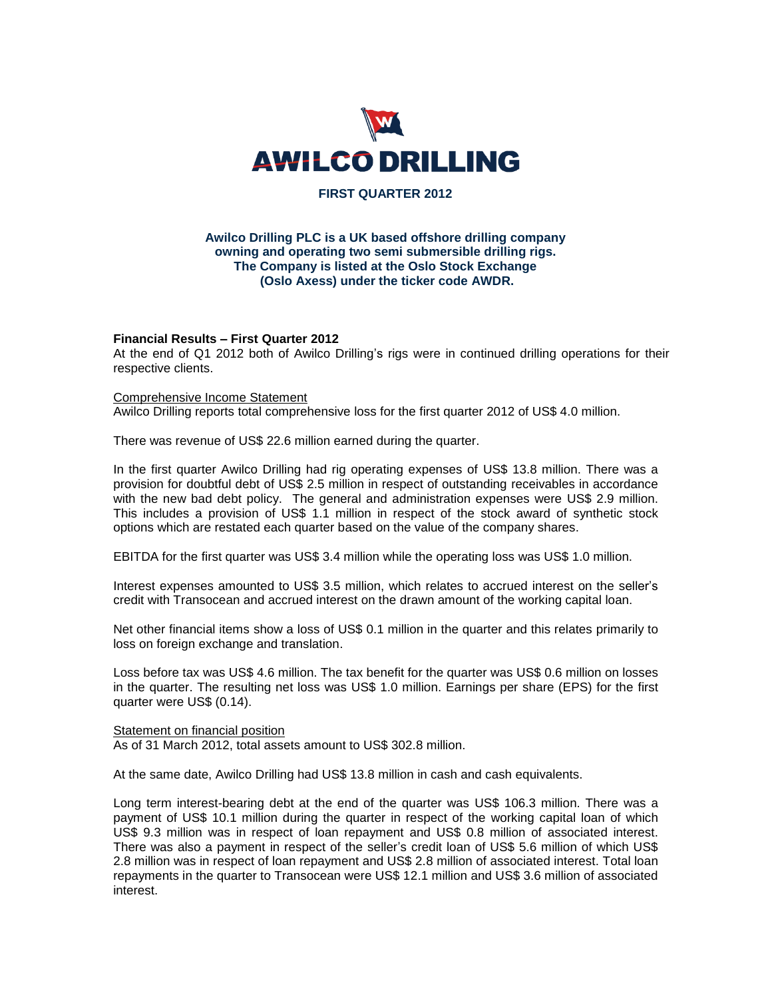

# **FIRST QUARTER 2012**

# **Awilco Drilling PLC is a UK based offshore drilling company owning and operating two semi submersible drilling rigs. The Company is listed at the Oslo Stock Exchange (Oslo Axess) under the ticker code AWDR.**

# **Financial Results – First Quarter 2012**

At the end of Q1 2012 both of Awilco Drilling's rigs were in continued drilling operations for their respective clients.

## Comprehensive Income Statement

Awilco Drilling reports total comprehensive loss for the first quarter 2012 of US\$ 4.0 million.

There was revenue of US\$ 22.6 million earned during the quarter.

In the first quarter Awilco Drilling had rig operating expenses of US\$ 13.8 million. There was a provision for doubtful debt of US\$ 2.5 million in respect of outstanding receivables in accordance with the new bad debt policy. The general and administration expenses were US\$ 2.9 million. This includes a provision of US\$ 1.1 million in respect of the stock award of synthetic stock options which are restated each quarter based on the value of the company shares.

EBITDA for the first quarter was US\$ 3.4 million while the operating loss was US\$ 1.0 million.

Interest expenses amounted to US\$ 3.5 million, which relates to accrued interest on the seller's credit with Transocean and accrued interest on the drawn amount of the working capital loan.

Net other financial items show a loss of US\$ 0.1 million in the quarter and this relates primarily to loss on foreign exchange and translation.

Loss before tax was US\$ 4.6 million. The tax benefit for the quarter was US\$ 0.6 million on losses in the quarter. The resulting net loss was US\$ 1.0 million. Earnings per share (EPS) for the first quarter were US\$ (0.14).

## Statement on financial position

As of 31 March 2012, total assets amount to US\$ 302.8 million.

At the same date, Awilco Drilling had US\$ 13.8 million in cash and cash equivalents.

Long term interest-bearing debt at the end of the quarter was US\$ 106.3 million. There was a payment of US\$ 10.1 million during the quarter in respect of the working capital loan of which US\$ 9.3 million was in respect of loan repayment and US\$ 0.8 million of associated interest. There was also a payment in respect of the seller's credit loan of US\$ 5.6 million of which US\$ 2.8 million was in respect of loan repayment and US\$ 2.8 million of associated interest. Total loan repayments in the quarter to Transocean were US\$ 12.1 million and US\$ 3.6 million of associated interest.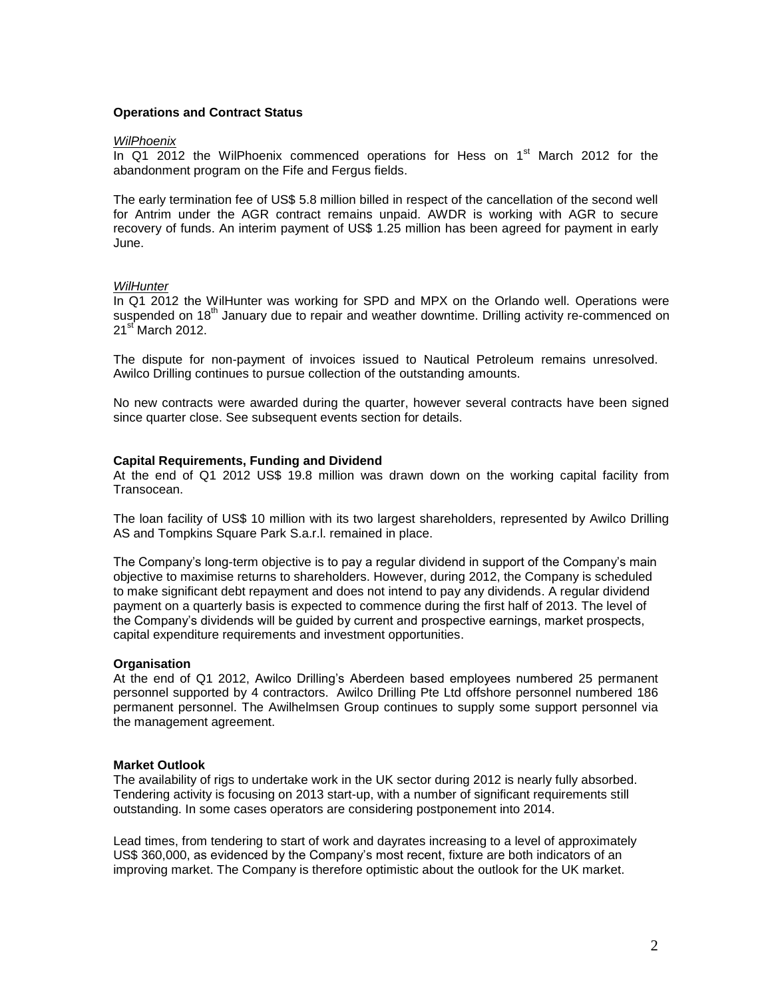# **Operations and Contract Status**

## *WilPhoenix*

In Q1 2012 the WilPhoenix commenced operations for Hess on  $1<sup>st</sup>$  March 2012 for the abandonment program on the Fife and Fergus fields.

The early termination fee of US\$ 5.8 million billed in respect of the cancellation of the second well for Antrim under the AGR contract remains unpaid. AWDR is working with AGR to secure recovery of funds. An interim payment of US\$ 1.25 million has been agreed for payment in early June.

# *WilHunter*

In Q1 2012 the WilHunter was working for SPD and MPX on the Orlando well. Operations were suspended on 18<sup>th</sup> January due to repair and weather downtime. Drilling activity re-commenced on 21<sup>st</sup> March 2012.

The dispute for non-payment of invoices issued to Nautical Petroleum remains unresolved. Awilco Drilling continues to pursue collection of the outstanding amounts.

No new contracts were awarded during the quarter, however several contracts have been signed since quarter close. See subsequent events section for details.

## **Capital Requirements, Funding and Dividend**

At the end of Q1 2012 US\$ 19.8 million was drawn down on the working capital facility from **Transocean** 

The loan facility of US\$ 10 million with its two largest shareholders, represented by Awilco Drilling AS and Tompkins Square Park S.a.r.l. remained in place.

The Company's long-term objective is to pay a regular dividend in support of the Company's main objective to maximise returns to shareholders. However, during 2012, the Company is scheduled to make significant debt repayment and does not intend to pay any dividends. A regular dividend payment on a quarterly basis is expected to commence during the first half of 2013. The level of the Company's dividends will be guided by current and prospective earnings, market prospects, capital expenditure requirements and investment opportunities.

## **Organisation**

At the end of Q1 2012, Awilco Drilling's Aberdeen based employees numbered 25 permanent personnel supported by 4 contractors. Awilco Drilling Pte Ltd offshore personnel numbered 186 permanent personnel. The Awilhelmsen Group continues to supply some support personnel via the management agreement.

## **Market Outlook**

The availability of rigs to undertake work in the UK sector during 2012 is nearly fully absorbed. Tendering activity is focusing on 2013 start-up, with a number of significant requirements still outstanding. In some cases operators are considering postponement into 2014.

Lead times, from tendering to start of work and dayrates increasing to a level of approximately US\$ 360,000, as evidenced by the Company's most recent, fixture are both indicators of an improving market. The Company is therefore optimistic about the outlook for the UK market.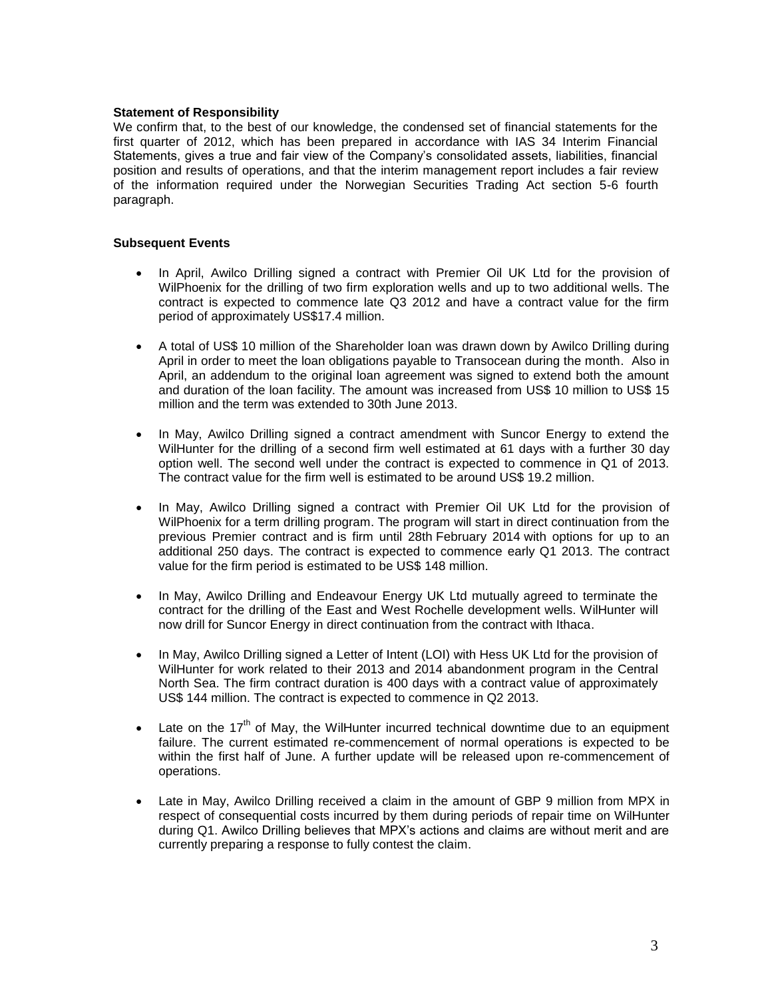# **Statement of Responsibility**

We confirm that, to the best of our knowledge, the condensed set of financial statements for the first quarter of 2012, which has been prepared in accordance with IAS 34 Interim Financial Statements, gives a true and fair view of the Company's consolidated assets, liabilities, financial position and results of operations, and that the interim management report includes a fair review of the information required under the Norwegian Securities Trading Act section 5-6 fourth paragraph.

# **Subsequent Events**

- In April, Awilco Drilling signed a contract with Premier Oil UK Ltd for the provision of WilPhoenix for the drilling of two firm exploration wells and up to two additional wells. The contract is expected to commence late Q3 2012 and have a contract value for the firm period of approximately US\$17.4 million.
- A total of US\$ 10 million of the Shareholder loan was drawn down by Awilco Drilling during April in order to meet the loan obligations payable to Transocean during the month. Also in April, an addendum to the original loan agreement was signed to extend both the amount and duration of the loan facility. The amount was increased from US\$ 10 million to US\$ 15 million and the term was extended to 30th June 2013.
- In May, Awilco Drilling signed a contract amendment with Suncor Energy to extend the WilHunter for the drilling of a second firm well estimated at 61 days with a further 30 day option well. The second well under the contract is expected to commence in Q1 of 2013. The contract value for the firm well is estimated to be around US\$ 19.2 million.
- In May, Awilco Drilling signed a contract with Premier Oil UK Ltd for the provision of WilPhoenix for a term drilling program. The program will start in direct continuation from the previous Premier contract and is firm until 28th February 2014 with options for up to an additional 250 days. The contract is expected to commence early Q1 2013. The contract value for the firm period is estimated to be US\$ 148 million.
- In May, Awilco Drilling and Endeavour Energy UK Ltd mutually agreed to terminate the contract for the drilling of the East and West Rochelle development wells. WilHunter will now drill for Suncor Energy in direct continuation from the contract with Ithaca.
- In May, Awilco Drilling signed a Letter of Intent (LOI) with Hess UK Ltd for the provision of WilHunter for work related to their 2013 and 2014 abandonment program in the Central North Sea. The firm contract duration is 400 days with a contract value of approximately US\$ 144 million. The contract is expected to commence in Q2 2013.
- Late on the  $17<sup>th</sup>$  of May, the WilHunter incurred technical downtime due to an equipment failure. The current estimated re-commencement of normal operations is expected to be within the first half of June. A further update will be released upon re-commencement of operations.
- Late in May, Awilco Drilling received a claim in the amount of GBP 9 million from MPX in respect of consequential costs incurred by them during periods of repair time on WilHunter during Q1. Awilco Drilling believes that MPX's actions and claims are without merit and are currently preparing a response to fully contest the claim.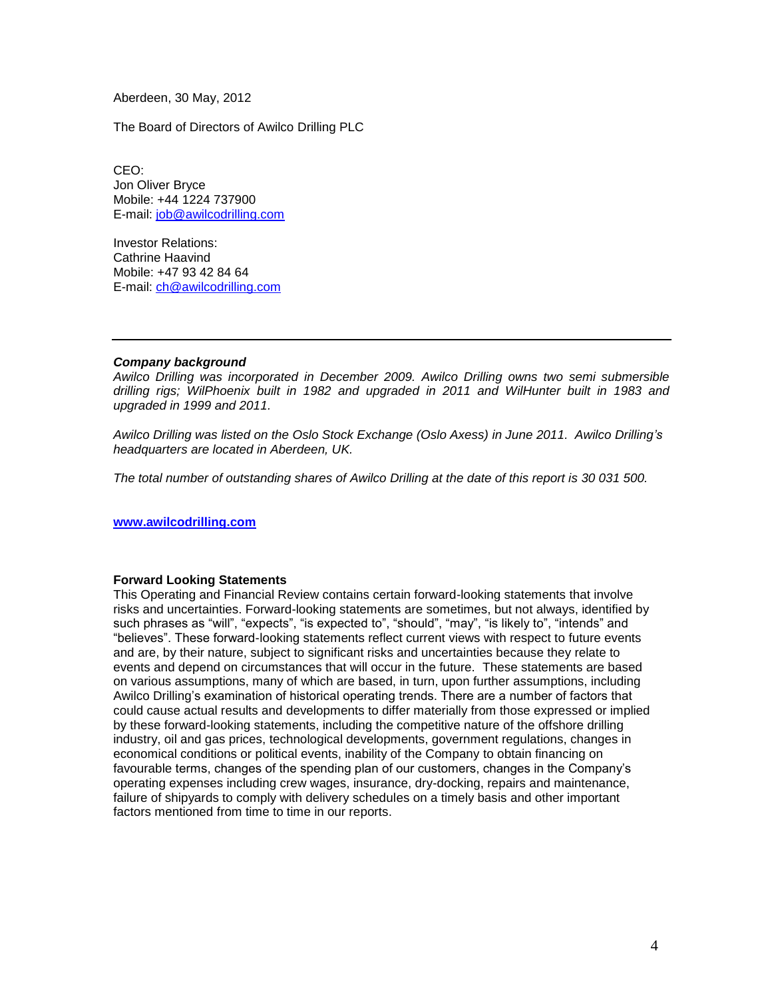Aberdeen, 30 May, 2012

The Board of Directors of Awilco Drilling PLC

CEO: Jon Oliver Bryce Mobile: +44 1224 737900 E-mail: [job@awilcodrilling.com](mailto:job@awilcodrilling.com)

Investor Relations: Cathrine Haavind Mobile: +47 93 42 84 64 E-mail: [ch@awilcodrilling.com](mailto:ch@awilcodrilling.com)

# *Company background*

*Awilco Drilling was incorporated in December 2009. Awilco Drilling owns two semi submersible drilling rigs; WilPhoenix built in 1982 and upgraded in 2011 and WilHunter built in 1983 and upgraded in 1999 and 2011.* 

*Awilco Drilling was listed on the Oslo Stock Exchange (Oslo Axess) in June 2011. Awilco Drilling's headquarters are located in Aberdeen, UK.*

*The total number of outstanding shares of Awilco Drilling at the date of this report is 30 031 500.*

**[www.awilcodrilling.com](http://www.awilcodrilling.com/)**

# **Forward Looking Statements**

This Operating and Financial Review contains certain forward-looking statements that involve risks and uncertainties. Forward-looking statements are sometimes, but not always, identified by such phrases as "will", "expects", "is expected to", "should", "may", "is likely to", "intends" and "believes". These forward-looking statements reflect current views with respect to future events and are, by their nature, subject to significant risks and uncertainties because they relate to events and depend on circumstances that will occur in the future. These statements are based on various assumptions, many of which are based, in turn, upon further assumptions, including Awilco Drilling's examination of historical operating trends. There are a number of factors that could cause actual results and developments to differ materially from those expressed or implied by these forward-looking statements, including the competitive nature of the offshore drilling industry, oil and gas prices, technological developments, government regulations, changes in economical conditions or political events, inability of the Company to obtain financing on favourable terms, changes of the spending plan of our customers, changes in the Company's operating expenses including crew wages, insurance, dry-docking, repairs and maintenance, failure of shipyards to comply with delivery schedules on a timely basis and other important factors mentioned from time to time in our reports.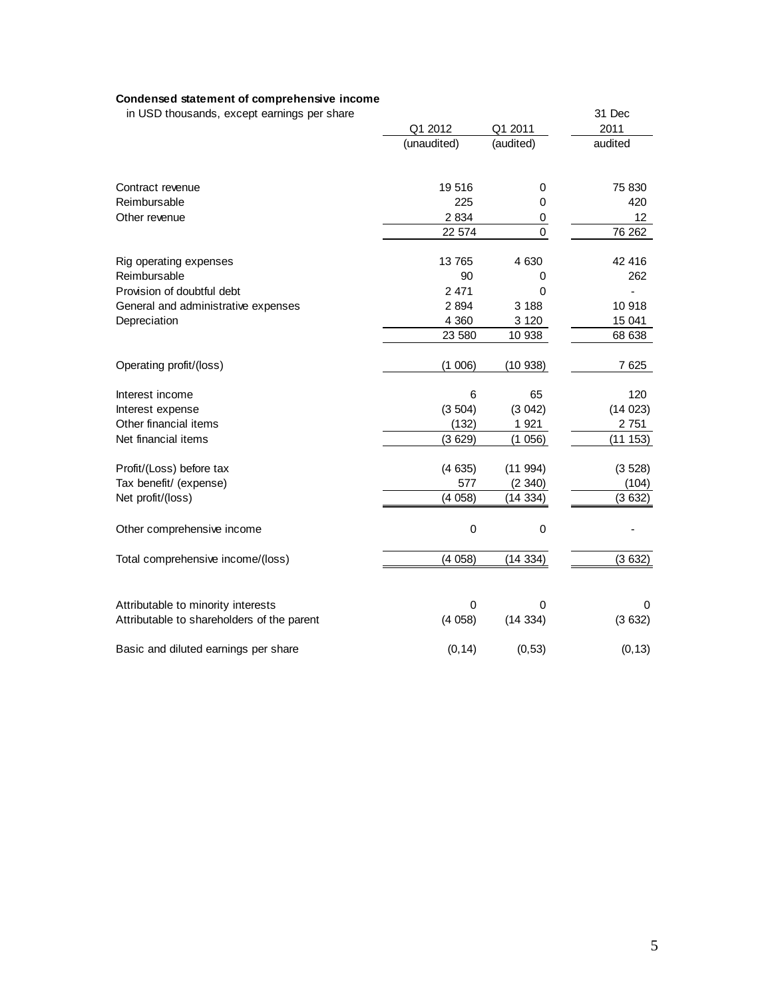# **Condensed statement of comprehensive income**

in USD thousands, except earnings per share 31 Dec

|                                            | Q1 2012     | Q1 2011     | 2011            |
|--------------------------------------------|-------------|-------------|-----------------|
|                                            | (unaudited) | (audited)   | audited         |
| Contract revenue                           | 19 516      | 0           | 75 830          |
| Reimbursable                               | 225         | $\Omega$    | 420             |
| Other revenue                              | 2 8 3 4     | 0           | 12 <sup>°</sup> |
|                                            | 22 574      | $\mathbf 0$ | 76 262          |
| Rig operating expenses                     | 13 765      | 4 6 3 0     | 42 416          |
| Reimbursable                               | 90          | 0           | 262             |
| Provision of doubtful debt                 | 2 4 7 1     | 0           |                 |
| General and administrative expenses        | 2 8 9 4     | 3 1 8 8     | 10 918          |
| Depreciation                               | 4 3 6 0     | 3 1 2 0     | 15 041          |
|                                            | 23 580      | 10 938      | 68 638          |
| Operating profit/(loss)                    | (1006)      | (10938)     | 7 6 25          |
| Interest income                            | 6           | 65          | 120             |
| Interest expense                           | (3504)      | (3042)      | (14023)         |
| Other financial items                      | (132)       | 1 9 2 1     | 2 751           |
| Net financial items                        | (3629)      | (1056)      | (11153)         |
| Profit/(Loss) before tax                   | (4635)      | (11994)     | (3528)          |
| Tax benefit/ (expense)                     | 577         | (2340)      | (104)           |
| Net profit/(loss)                          | (4058)      | (14334)     | (3632)          |
| Other comprehensive income                 | $\mathbf 0$ | $\mathbf 0$ |                 |
| Total comprehensive income/(loss)          | (4058)      | (14334)     | (3632)          |
|                                            |             |             |                 |
| Attributable to minority interests         | 0           | 0           | 0               |
| Attributable to shareholders of the parent | (4058)      | (14334)     | (3632)          |
| Basic and diluted earnings per share       | (0, 14)     | (0, 53)     | (0, 13)         |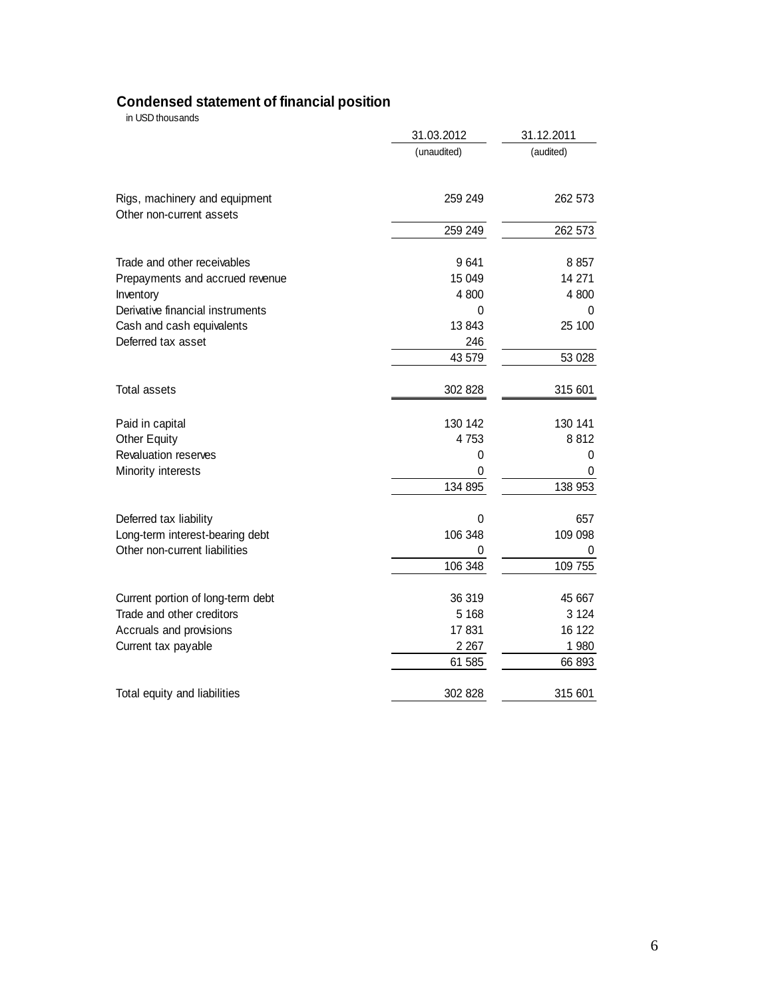# **Condensed statement of financial position**

in USD thousands

|                                                           | 31.03.2012   | 31.12.2011 |
|-----------------------------------------------------------|--------------|------------|
|                                                           | (unaudited)  | (audited)  |
| Rigs, machinery and equipment<br>Other non-current assets | 259 249      | 262 573    |
|                                                           | 259 249      | 262 573    |
| Trade and other receivables                               | 9641         | 8857       |
| Prepayments and accrued revenue                           | 15 049       | 14 271     |
| Inventory                                                 | 4 800        | 4 800      |
| Derivative financial instruments                          | 0            | 0          |
| Cash and cash equivalents                                 | 13843        | 25 100     |
| Deferred tax asset                                        | 246          |            |
|                                                           | 43 579       | 53 028     |
| Total assets                                              | 302 828      | 315 601    |
| Paid in capital                                           | 130 142      | 130 141    |
| <b>Other Equity</b>                                       | 4753         | 8812       |
| Revaluation reserves                                      | 0            | 0          |
| Minority interests                                        | 0            | 0          |
|                                                           | 134 895      | 138 953    |
| Deferred tax liability                                    | $\mathbf{0}$ | 657        |
| Long-term interest-bearing debt                           | 106 348      | 109 098    |
| Other non-current liabilities                             |              |            |
|                                                           | 106 348      | 109 755    |
| Current portion of long-term debt                         | 36 319       | 45 667     |
| Trade and other creditors                                 | 5 1 6 8      | 3 1 2 4    |
| Accruals and provisions                                   | 17831        | 16 122     |
| Current tax payable                                       | 2 2 6 7      | 1 980      |
|                                                           | 61 585       | 66 893     |
| Total equity and liabilities                              | 302 828      | 315 601    |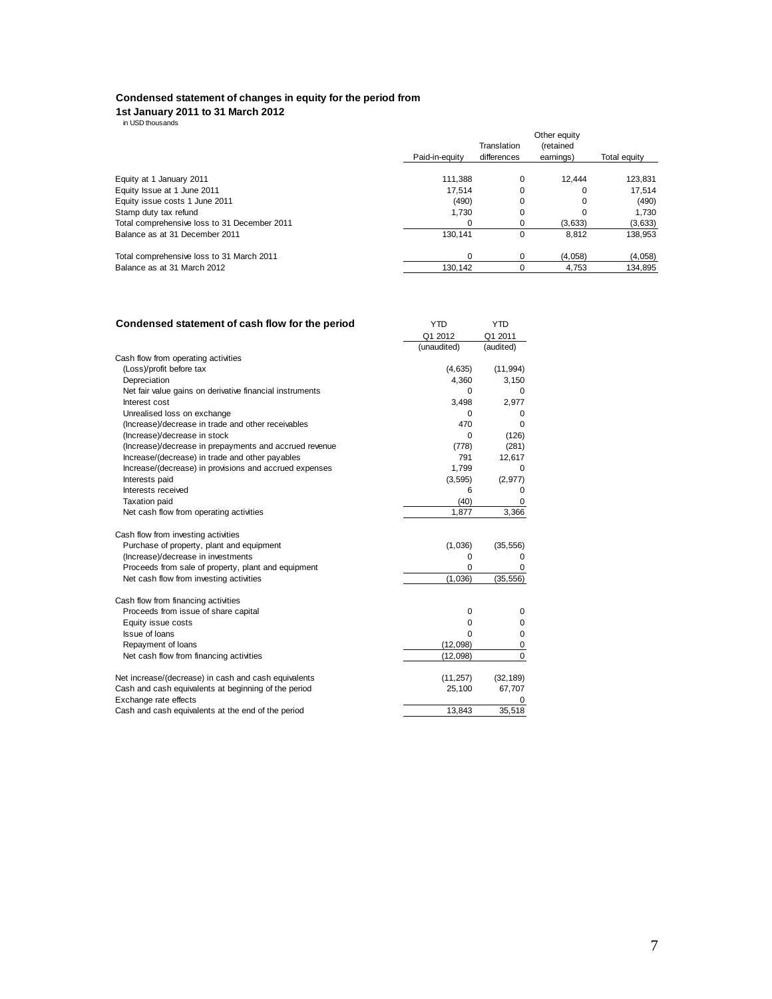### **Condensed statement of changes in equity for the period from**

# **1st January 2011 to 31 March 2012** in USD thousands

|                                              |                | Translation | Other equity<br><i>(retained)</i> |              |
|----------------------------------------------|----------------|-------------|-----------------------------------|--------------|
|                                              | Paid-in-equity | differences | earnings)                         | Total equity |
| Equity at 1 January 2011                     | 111.388        | 0           | 12.444                            | 123,831      |
| Equity Issue at 1 June 2011                  | 17.514         | 0           | 0                                 | 17.514       |
| Equity issue costs 1 June 2011               | (490)          | 0           | $\Omega$                          | (490)        |
| Stamp duty tax refund                        | 1.730          | $\Omega$    |                                   | 1.730        |
| Total comprehensive loss to 31 December 2011 |                | 0           | (3,633)                           | (3,633)      |
| Balance as at 31 December 2011               | 130.141        | 0           | 8.812                             | 138.953      |
| Total comprehensive loss to 31 March 2011    |                | 0           | (4.058)                           | (4,058)      |
| Balance as at 31 March 2012                  | 130.142        |             | 4.753                             | 134,895      |

| Q1 2012<br>Q1 2011<br>(unaudited)<br>(audited)<br>Cash flow from operating activities<br>(Loss)/profit before tax<br>(4,635)<br>(11, 994)<br>4,360<br>3,150<br>Depreciation<br>Net fair value gains on derivative financial instruments<br>0<br>0<br>3,498<br>2,977<br>Interest cost<br>Unrealised loss on exchange<br>$\mathbf 0$<br>0<br>470<br>(Increase)/decrease in trade and other receivables<br>$\Omega$<br>(Increase)/decrease in stock<br>(126)<br>0<br>(Increase)/decrease in prepayments and accrued revenue<br>(281)<br>(778)<br>Increase/(decrease) in trade and other payables<br>791<br>12,617<br>Increase/(decrease) in provisions and accrued expenses<br>1,799<br>0<br>Interests paid<br>(2, 977)<br>(3, 595)<br>Interests received<br>6<br>0<br><b>Taxation paid</b><br>(40)<br>0<br>Net cash flow from operating activities<br>3,366<br>1,877<br>Cash flow from investing activities<br>Purchase of property, plant and equipment<br>(1,036)<br>(35, 556)<br>(Increase)/decrease in investments<br>0<br>$\Omega$<br>Proceeds from sale of property, plant and equipment<br>0<br>0<br>Net cash flow from investing activities<br>(1,036)<br>(35, 556)<br>Cash flow from financing activities<br>Proceeds from issue of share capital<br>$\mathbf 0$<br>$\mathbf 0$<br>Equity issue costs<br>0<br>0<br><b>Issue of loans</b><br>$\mathbf 0$<br>O<br>Repayment of loans<br>(12,098)<br>0<br>$\Omega$<br>Net cash flow from financing activities<br>(12,098)<br>(11, 257)<br>Net increase/(decrease) in cash and cash equivalents<br>(32, 189)<br>Cash and cash equivalents at beginning of the period<br>67,707<br>25,100<br>Exchange rate effects<br>35,518<br>Cash and cash equivalents at the end of the period<br>13,843 | Condensed statement of cash flow for the period | <b>YTD</b> | <b>YTD</b> |
|------------------------------------------------------------------------------------------------------------------------------------------------------------------------------------------------------------------------------------------------------------------------------------------------------------------------------------------------------------------------------------------------------------------------------------------------------------------------------------------------------------------------------------------------------------------------------------------------------------------------------------------------------------------------------------------------------------------------------------------------------------------------------------------------------------------------------------------------------------------------------------------------------------------------------------------------------------------------------------------------------------------------------------------------------------------------------------------------------------------------------------------------------------------------------------------------------------------------------------------------------------------------------------------------------------------------------------------------------------------------------------------------------------------------------------------------------------------------------------------------------------------------------------------------------------------------------------------------------------------------------------------------------------------------------------------------------------------------------------------------|-------------------------------------------------|------------|------------|
|                                                                                                                                                                                                                                                                                                                                                                                                                                                                                                                                                                                                                                                                                                                                                                                                                                                                                                                                                                                                                                                                                                                                                                                                                                                                                                                                                                                                                                                                                                                                                                                                                                                                                                                                                |                                                 |            |            |
|                                                                                                                                                                                                                                                                                                                                                                                                                                                                                                                                                                                                                                                                                                                                                                                                                                                                                                                                                                                                                                                                                                                                                                                                                                                                                                                                                                                                                                                                                                                                                                                                                                                                                                                                                |                                                 |            |            |
|                                                                                                                                                                                                                                                                                                                                                                                                                                                                                                                                                                                                                                                                                                                                                                                                                                                                                                                                                                                                                                                                                                                                                                                                                                                                                                                                                                                                                                                                                                                                                                                                                                                                                                                                                |                                                 |            |            |
|                                                                                                                                                                                                                                                                                                                                                                                                                                                                                                                                                                                                                                                                                                                                                                                                                                                                                                                                                                                                                                                                                                                                                                                                                                                                                                                                                                                                                                                                                                                                                                                                                                                                                                                                                |                                                 |            |            |
|                                                                                                                                                                                                                                                                                                                                                                                                                                                                                                                                                                                                                                                                                                                                                                                                                                                                                                                                                                                                                                                                                                                                                                                                                                                                                                                                                                                                                                                                                                                                                                                                                                                                                                                                                |                                                 |            |            |
|                                                                                                                                                                                                                                                                                                                                                                                                                                                                                                                                                                                                                                                                                                                                                                                                                                                                                                                                                                                                                                                                                                                                                                                                                                                                                                                                                                                                                                                                                                                                                                                                                                                                                                                                                |                                                 |            |            |
|                                                                                                                                                                                                                                                                                                                                                                                                                                                                                                                                                                                                                                                                                                                                                                                                                                                                                                                                                                                                                                                                                                                                                                                                                                                                                                                                                                                                                                                                                                                                                                                                                                                                                                                                                |                                                 |            |            |
|                                                                                                                                                                                                                                                                                                                                                                                                                                                                                                                                                                                                                                                                                                                                                                                                                                                                                                                                                                                                                                                                                                                                                                                                                                                                                                                                                                                                                                                                                                                                                                                                                                                                                                                                                |                                                 |            |            |
|                                                                                                                                                                                                                                                                                                                                                                                                                                                                                                                                                                                                                                                                                                                                                                                                                                                                                                                                                                                                                                                                                                                                                                                                                                                                                                                                                                                                                                                                                                                                                                                                                                                                                                                                                |                                                 |            |            |
|                                                                                                                                                                                                                                                                                                                                                                                                                                                                                                                                                                                                                                                                                                                                                                                                                                                                                                                                                                                                                                                                                                                                                                                                                                                                                                                                                                                                                                                                                                                                                                                                                                                                                                                                                |                                                 |            |            |
|                                                                                                                                                                                                                                                                                                                                                                                                                                                                                                                                                                                                                                                                                                                                                                                                                                                                                                                                                                                                                                                                                                                                                                                                                                                                                                                                                                                                                                                                                                                                                                                                                                                                                                                                                |                                                 |            |            |
|                                                                                                                                                                                                                                                                                                                                                                                                                                                                                                                                                                                                                                                                                                                                                                                                                                                                                                                                                                                                                                                                                                                                                                                                                                                                                                                                                                                                                                                                                                                                                                                                                                                                                                                                                |                                                 |            |            |
|                                                                                                                                                                                                                                                                                                                                                                                                                                                                                                                                                                                                                                                                                                                                                                                                                                                                                                                                                                                                                                                                                                                                                                                                                                                                                                                                                                                                                                                                                                                                                                                                                                                                                                                                                |                                                 |            |            |
|                                                                                                                                                                                                                                                                                                                                                                                                                                                                                                                                                                                                                                                                                                                                                                                                                                                                                                                                                                                                                                                                                                                                                                                                                                                                                                                                                                                                                                                                                                                                                                                                                                                                                                                                                |                                                 |            |            |
|                                                                                                                                                                                                                                                                                                                                                                                                                                                                                                                                                                                                                                                                                                                                                                                                                                                                                                                                                                                                                                                                                                                                                                                                                                                                                                                                                                                                                                                                                                                                                                                                                                                                                                                                                |                                                 |            |            |
|                                                                                                                                                                                                                                                                                                                                                                                                                                                                                                                                                                                                                                                                                                                                                                                                                                                                                                                                                                                                                                                                                                                                                                                                                                                                                                                                                                                                                                                                                                                                                                                                                                                                                                                                                |                                                 |            |            |
|                                                                                                                                                                                                                                                                                                                                                                                                                                                                                                                                                                                                                                                                                                                                                                                                                                                                                                                                                                                                                                                                                                                                                                                                                                                                                                                                                                                                                                                                                                                                                                                                                                                                                                                                                |                                                 |            |            |
|                                                                                                                                                                                                                                                                                                                                                                                                                                                                                                                                                                                                                                                                                                                                                                                                                                                                                                                                                                                                                                                                                                                                                                                                                                                                                                                                                                                                                                                                                                                                                                                                                                                                                                                                                |                                                 |            |            |
|                                                                                                                                                                                                                                                                                                                                                                                                                                                                                                                                                                                                                                                                                                                                                                                                                                                                                                                                                                                                                                                                                                                                                                                                                                                                                                                                                                                                                                                                                                                                                                                                                                                                                                                                                |                                                 |            |            |
|                                                                                                                                                                                                                                                                                                                                                                                                                                                                                                                                                                                                                                                                                                                                                                                                                                                                                                                                                                                                                                                                                                                                                                                                                                                                                                                                                                                                                                                                                                                                                                                                                                                                                                                                                |                                                 |            |            |
|                                                                                                                                                                                                                                                                                                                                                                                                                                                                                                                                                                                                                                                                                                                                                                                                                                                                                                                                                                                                                                                                                                                                                                                                                                                                                                                                                                                                                                                                                                                                                                                                                                                                                                                                                |                                                 |            |            |
|                                                                                                                                                                                                                                                                                                                                                                                                                                                                                                                                                                                                                                                                                                                                                                                                                                                                                                                                                                                                                                                                                                                                                                                                                                                                                                                                                                                                                                                                                                                                                                                                                                                                                                                                                |                                                 |            |            |
|                                                                                                                                                                                                                                                                                                                                                                                                                                                                                                                                                                                                                                                                                                                                                                                                                                                                                                                                                                                                                                                                                                                                                                                                                                                                                                                                                                                                                                                                                                                                                                                                                                                                                                                                                |                                                 |            |            |
|                                                                                                                                                                                                                                                                                                                                                                                                                                                                                                                                                                                                                                                                                                                                                                                                                                                                                                                                                                                                                                                                                                                                                                                                                                                                                                                                                                                                                                                                                                                                                                                                                                                                                                                                                |                                                 |            |            |
|                                                                                                                                                                                                                                                                                                                                                                                                                                                                                                                                                                                                                                                                                                                                                                                                                                                                                                                                                                                                                                                                                                                                                                                                                                                                                                                                                                                                                                                                                                                                                                                                                                                                                                                                                |                                                 |            |            |
|                                                                                                                                                                                                                                                                                                                                                                                                                                                                                                                                                                                                                                                                                                                                                                                                                                                                                                                                                                                                                                                                                                                                                                                                                                                                                                                                                                                                                                                                                                                                                                                                                                                                                                                                                |                                                 |            |            |
|                                                                                                                                                                                                                                                                                                                                                                                                                                                                                                                                                                                                                                                                                                                                                                                                                                                                                                                                                                                                                                                                                                                                                                                                                                                                                                                                                                                                                                                                                                                                                                                                                                                                                                                                                |                                                 |            |            |
|                                                                                                                                                                                                                                                                                                                                                                                                                                                                                                                                                                                                                                                                                                                                                                                                                                                                                                                                                                                                                                                                                                                                                                                                                                                                                                                                                                                                                                                                                                                                                                                                                                                                                                                                                |                                                 |            |            |
|                                                                                                                                                                                                                                                                                                                                                                                                                                                                                                                                                                                                                                                                                                                                                                                                                                                                                                                                                                                                                                                                                                                                                                                                                                                                                                                                                                                                                                                                                                                                                                                                                                                                                                                                                |                                                 |            |            |
|                                                                                                                                                                                                                                                                                                                                                                                                                                                                                                                                                                                                                                                                                                                                                                                                                                                                                                                                                                                                                                                                                                                                                                                                                                                                                                                                                                                                                                                                                                                                                                                                                                                                                                                                                |                                                 |            |            |
|                                                                                                                                                                                                                                                                                                                                                                                                                                                                                                                                                                                                                                                                                                                                                                                                                                                                                                                                                                                                                                                                                                                                                                                                                                                                                                                                                                                                                                                                                                                                                                                                                                                                                                                                                |                                                 |            |            |
|                                                                                                                                                                                                                                                                                                                                                                                                                                                                                                                                                                                                                                                                                                                                                                                                                                                                                                                                                                                                                                                                                                                                                                                                                                                                                                                                                                                                                                                                                                                                                                                                                                                                                                                                                |                                                 |            |            |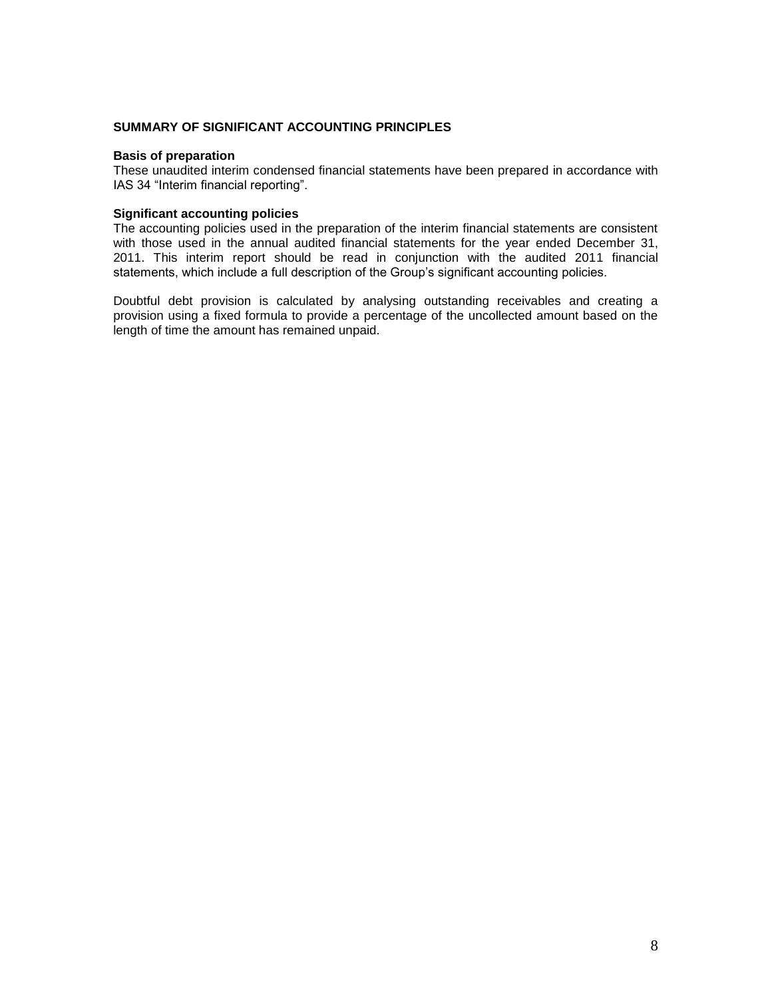# **SUMMARY OF SIGNIFICANT ACCOUNTING PRINCIPLES**

# **Basis of preparation**

These unaudited interim condensed financial statements have been prepared in accordance with IAS 34 "Interim financial reporting".

# **Significant accounting policies**

The accounting policies used in the preparation of the interim financial statements are consistent with those used in the annual audited financial statements for the year ended December 31, 2011. This interim report should be read in conjunction with the audited 2011 financial statements, which include a full description of the Group's significant accounting policies.

Doubtful debt provision is calculated by analysing outstanding receivables and creating a provision using a fixed formula to provide a percentage of the uncollected amount based on the length of time the amount has remained unpaid.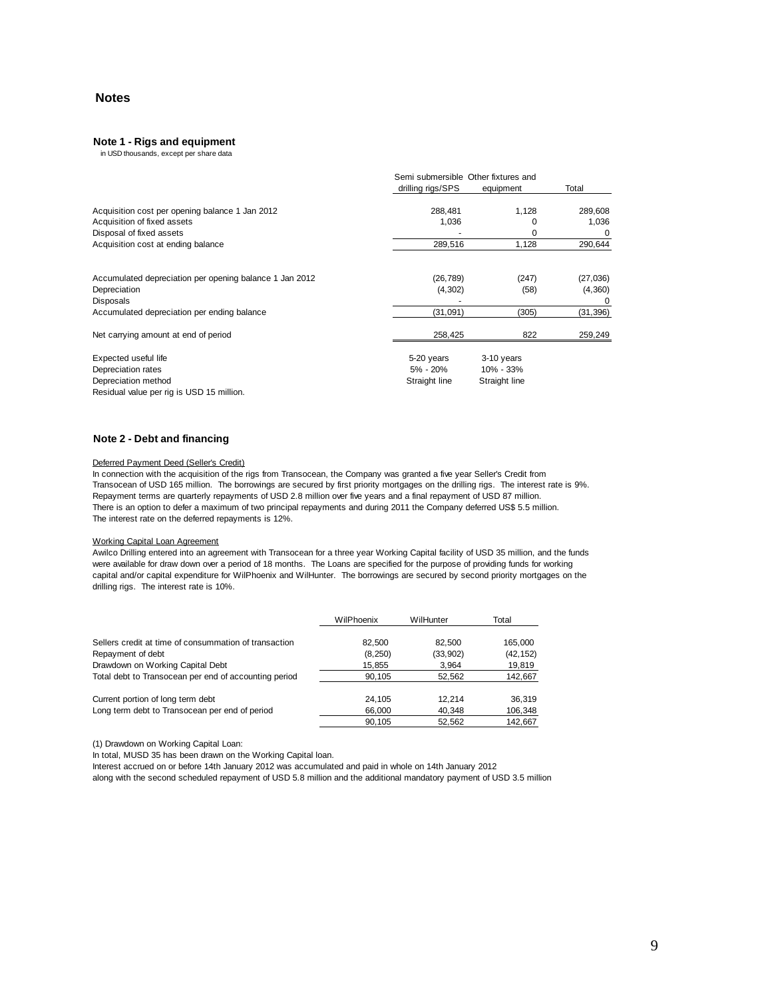# **Notes**

### **Note 1 - Rigs and equipment**

in USD thousands, except per share data

|                                                         | Semi submersible Other fixtures and |               |           |
|---------------------------------------------------------|-------------------------------------|---------------|-----------|
|                                                         | drilling rigs/SPS                   | equipment     | Total     |
| Acquisition cost per opening balance 1 Jan 2012         | 288,481                             | 1,128         | 289,608   |
| Acquisition of fixed assets                             | 1,036                               | O             | 1,036     |
| Disposal of fixed assets                                |                                     | 0             | 0         |
| Acquisition cost at ending balance                      | 289,516                             | 1,128         | 290,644   |
| Accumulated depreciation per opening balance 1 Jan 2012 | (26, 789)                           | (247)         | (27, 036) |
| Depreciation                                            | (4,302)                             | (58)          | (4,360)   |
| Disposals                                               |                                     |               | 0         |
| Accumulated depreciation per ending balance             | (31,091)                            | (305)         | (31, 396) |
| Net carrying amount at end of period                    | 258,425                             | 822           | 259,249   |
| Expected useful life                                    | 5-20 years                          | 3-10 years    |           |
| Depreciation rates                                      | 5% - 20%                            | 10% - 33%     |           |
| Depreciation method                                     | Straight line                       | Straight line |           |
| Residual value per rig is USD 15 million.               |                                     |               |           |

### **Note 2 - Debt and financing**

### Deferred Payment Deed (Seller's Credit)

In connection with the acquisition of the rigs from Transocean, the Company was granted a five year Seller's Credit from Transocean of USD 165 million. The borrowings are secured by first priority mortgages on the drilling rigs. The interest rate is 9%. Repayment terms are quarterly repayments of USD 2.8 million over five years and a final repayment of USD 87 million. There is an option to defer a maximum of two principal repayments and during 2011 the Company deferred US\$ 5.5 million. The interest rate on the deferred repayments is 12%.

### Working Capital Loan Agreement

Awilco Drilling entered into an agreement with Transocean for a three year Working Capital facility of USD 35 million, and the funds were available for draw down over a period of 18 months. The Loans are specified for the purpose of providing funds for working capital and/or capital expenditure for WilPhoenix and WilHunter. The borrowings are secured by second priority mortgages on the drilling rigs. The interest rate is 10%.

|                                                       | WilPhoenix | WilHunter | Total     |
|-------------------------------------------------------|------------|-----------|-----------|
| Sellers credit at time of consummation of transaction | 82.500     | 82.500    | 165,000   |
| Repayment of debt                                     | (8, 250)   | (33,902)  | (42, 152) |
| Drawdown on Working Capital Debt                      | 15,855     | 3,964     | 19,819    |
| Total debt to Transocean per end of accounting period | 90.105     | 52,562    | 142,667   |
| Current portion of long term debt                     | 24.105     | 12.214    | 36,319    |
| Long term debt to Transocean per end of period        | 66,000     | 40,348    | 106,348   |
|                                                       | 90.105     | 52,562    | 142,667   |

(1) Drawdown on Working Capital Loan:

In total, MUSD 35 has been drawn on the Working Capital loan.

Interest accrued on or before 14th January 2012 was accumulated and paid in whole on 14th January 2012

along with the second scheduled repayment of USD 5.8 million and the additional mandatory payment of USD 3.5 million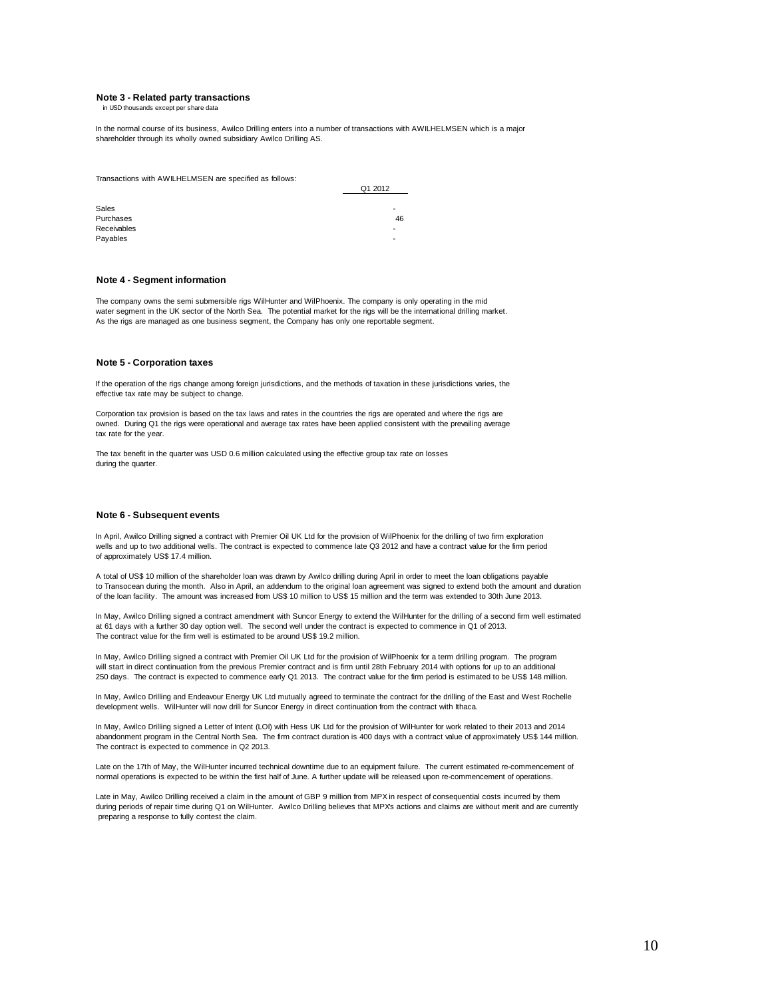### **Note 3 - Related party transactions**

in USD thousands except per share data

In the normal course of its business, Awilco Drilling enters into a number of transactions with AWILHELMSEN which is a major shareholder through its wholly owned subsidiary Awilco Drilling AS.

Transactions with AWILHELMSEN are specified as follows:

| Q1 2012     |        |  |  |
|-------------|--------|--|--|
|             |        |  |  |
| Sales       | -      |  |  |
| Purchases   | 46     |  |  |
| Receivables | $\sim$ |  |  |
| Payables    | $\sim$ |  |  |

### **Note 4 - Segment information**

The company owns the semi submersible rigs WilHunter and WilPhoenix. The company is only operating in the mid water segment in the UK sector of the North Sea. The potential market for the rigs will be the international drilling market. As the rigs are managed as one business segment, the Company has only one reportable segment.

### **Note 5 - Corporation taxes**

If the operation of the rigs change among foreign jurisdictions, and the methods of taxation in these jurisdictions varies, the effective tax rate may be subject to change.

Corporation tax provision is based on the tax laws and rates in the countries the rigs are operated and where the rigs are owned. During Q1 the rigs were operational and average tax rates have been applied consistent with the prevailing average tax rate for the year.

The tax benefit in the quarter was USD 0.6 million calculated using the effective group tax rate on losses during the quarter.

### **Note 6 - Subsequent events**

In April, Awilco Drilling signed a contract with Premier Oil UK Ltd for the provision of WilPhoenix for the drilling of two firm exploration wells and up to two additional wells. The contract is expected to commence late Q3 2012 and have a contract value for the firm period of approximately US\$ 17.4 million.

A total of US\$ 10 million of the shareholder loan was drawn by Awilco drilling during April in order to meet the loan obligations payable to Transocean during the month. Also in April, an addendum to the original loan agreement was signed to extend both the amount and duration of the loan facility. The amount was increased from US\$ 10 million to US\$ 15 million and the term was extended to 30th June 2013.

In May, Awilco Drilling signed a contract amendment with Suncor Energy to extend the WilHunter for the drilling of a second firm well estimated at 61 days with a further 30 day option well. The second well under the contract is expected to commence in Q1 of 2013. The contract value for the firm well is estimated to be around US\$ 19.2 million.

In May, Awilco Drilling signed a contract with Premier Oil UK Ltd for the provision of WilPhoenix for a term drilling program. The program will start in direct continuation from the previous Premier contract and is firm until 28th February 2014 with options for up to an additional 250 days. The contract is expected to commence early Q1 2013. The contract value for the firm period is estimated to be US\$ 148 million.

In May, Awilco Drilling and Endeavour Energy UK Ltd mutually agreed to terminate the contract for the drilling of the East and West Rochelle development wells. WilHunter will now drill for Suncor Energy in direct continuation from the contract with Ithaca.

In May, Awilco Drilling signed a Letter of Intent (LOI) with Hess UK Ltd for the provision of WilHunter for work related to their 2013 and 2014 abandonment program in the Central North Sea. The firm contract duration is 400 days with a contract value of approximately US\$ 144 million. The contract is expected to commence in Q2 2013.

Late on the 17th of May, the WilHunter incurred technical downtime due to an equipment failure. The current estimated re-commencement of normal operations is expected to be within the first half of June. A further update will be released upon re-commencement of operations.

Late in May, Awilco Drilling received a claim in the amount of GBP 9 million from MPX in respect of consequential costs incurred by them during periods of repair time during Q1 on WilHunter. Awilco Drilling believes that MPX's actions and claims are without merit and are currently preparing a response to fully contest the claim.